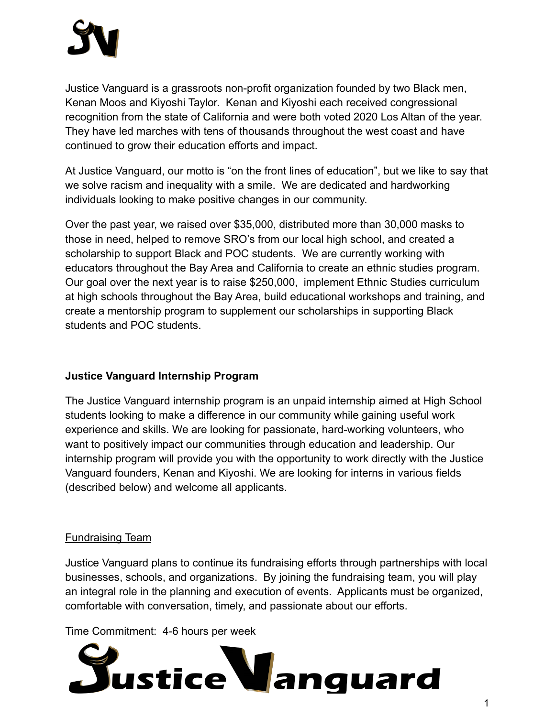Justice Vanguard is a grassroots non-profit organization founded by two Black men, Kenan Moos and Kiyoshi Taylor. Kenan and Kiyoshi each received congressional recognition from the state of California and were both voted 2020 Los Altan of the year. They have led marches with tens of thousands throughout the west coast and have continued to grow their education efforts and impact.

At Justice Vanguard, our motto is "on the front lines of education", but we like to say that we solve racism and inequality with a smile. We are dedicated and hardworking individuals looking to make positive changes in our community.

Over the past year, we raised over \$35,000, distributed more than 30,000 masks to those in need, helped to remove SRO's from our local high school, and created a scholarship to support Black and POC students. We are currently working with educators throughout the Bay Area and California to create an ethnic studies program. Our goal over the next year is to raise \$250,000, implement Ethnic Studies curriculum at high schools throughout the Bay Area, build educational workshops and training, and create a mentorship program to supplement our scholarships in supporting Black students and POC students.

# **Justice Vanguard Internship Program**

The Justice Vanguard internship program is an unpaid internship aimed at High School students looking to make a difference in our community while gaining useful work experience and skills. We are looking for passionate, hard-working volunteers, who want to positively impact our communities through education and leadership. Our internship program will provide you with the opportunity to work directly with the Justice Vanguard founders, Kenan and Kiyoshi. We are looking for interns in various fields (described below) and welcome all applicants.

# Fundraising Team

Justice Vanguard plans to continue its fundraising efforts through partnerships with local businesses, schools, and organizations. By joining the fundraising team, you will play an integral role in the planning and execution of events. Applicants must be organized, comfortable with conversation, timely, and passionate about our efforts.

Time Commitment: 4-6 hours per week